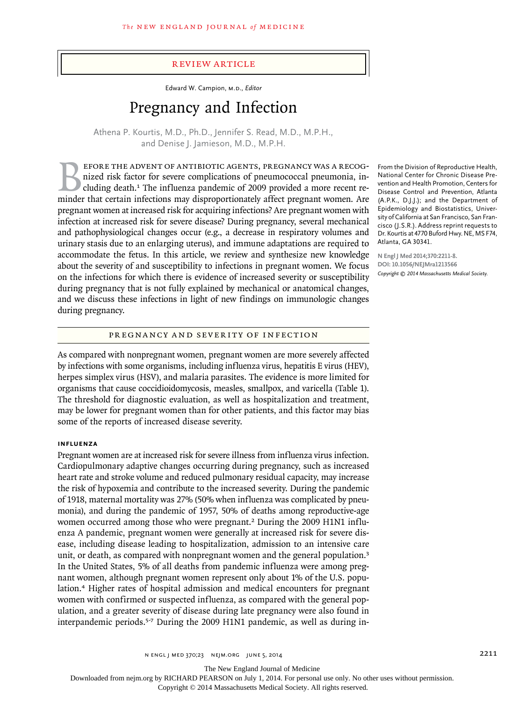#### review article

Edward W. Campion, M.D., *Editor*

# Pregnancy and Infection

Athena P. Kourtis, M.D., Ph.D., Jennifer S. Read, M.D., M.P.H., and Denise J. Jamieson, M.D., M.P.H.

EFORE THE ADVENT OF ANTIBIOTIC AGENTS, PREGNANCY WAS A RECOG-<br>nized risk factor for severe complications of pneumococcal pneumonia, in-<br>cluding death.<sup>1</sup> The influenza pandemic of 2009 provided a more recent re-<br>minder tha nized risk factor for severe complications of pneumococcal pneumonia, including death.<sup>1</sup> The influenza pandemic of 2009 provided a more recent reminder that certain infections may disproportionately affect pregnant women. Are pregnant women at increased risk for acquiring infections? Are pregnant women with infection at increased risk for severe disease? During pregnancy, several mechanical and pathophysiological changes occur (e.g., a decrease in respiratory volumes and urinary stasis due to an enlarging uterus), and immune adaptations are required to accommodate the fetus. In this article, we review and synthesize new knowledge about the severity of and susceptibility to infections in pregnant women. We focus on the infections for which there is evidence of increased severity or susceptibility during pregnancy that is not fully explained by mechanical or anatomical changes, and we discuss these infections in light of new findings on immunologic changes during pregnancy.

Pregnancy and Severity of Infection

As compared with nonpregnant women, pregnant women are more severely affected by infections with some organisms, including influenza virus, hepatitis E virus (HEV), herpes simplex virus (HSV), and malaria parasites. The evidence is more limited for organisms that cause coccidioidomycosis, measles, smallpox, and varicella (Table 1). The threshold for diagnostic evaluation, as well as hospitalization and treatment, may be lower for pregnant women than for other patients, and this factor may bias some of the reports of increased disease severity.

#### **Influenza**

Pregnant women are at increased risk for severe illness from influenza virus infection. Cardiopulmonary adaptive changes occurring during pregnancy, such as increased heart rate and stroke volume and reduced pulmonary residual capacity, may increase the risk of hypoxemia and contribute to the increased severity. During the pandemic of 1918, maternal mortality was 27% (50% when influenza was complicated by pneumonia), and during the pandemic of 1957, 50% of deaths among reproductive-age women occurred among those who were pregnant.<sup>2</sup> During the 2009 H1N1 influenza A pandemic, pregnant women were generally at increased risk for severe disease, including disease leading to hospitalization, admission to an intensive care unit, or death, as compared with nonpregnant women and the general population.<sup>3</sup> In the United States, 5% of all deaths from pandemic influenza were among pregnant women, although pregnant women represent only about 1% of the U.S. population.4 Higher rates of hospital admission and medical encounters for pregnant women with confirmed or suspected influenza, as compared with the general population, and a greater severity of disease during late pregnancy were also found in interpandemic periods.5-7 During the 2009 H1N1 pandemic, as well as during in-

From the Division of Reproductive Health, National Center for Chronic Disease Prevention and Health Promotion, Centers for Disease Control and Prevention, Atlanta (A.P.K., D.J.J.); and the Department of Epidemiology and Biostatistics, University of California at San Francisco, San Francisco (J.S.R.). Address reprint requests to Dr. Kourtis at 4770 Buford Hwy. NE, MS F74, Atlanta, GA 30341.

**N Engl J Med 2014;370:2211-8. DOI: 10.1056/NEJMra1213566** *Copyright © 2014 Massachusetts Medical Society.*

The New England Journal of Medicine

Downloaded from nejm.org by RICHARD PEARSON on July 1, 2014. For personal use only. No other uses without permission.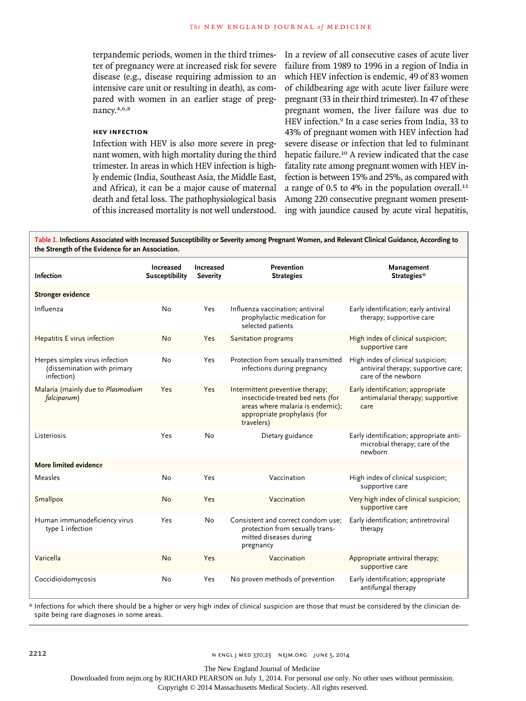terpandemic periods, women in the third trimester of pregnancy were at increased risk for severe disease (e.g., disease requiring admission to an intensive care unit or resulting in death), as compared with women in an earlier stage of pregnancy.4,6,8

# **hev Infection**

Infection with HEV is also more severe in pregnant women, with high mortality during the third trimester. In areas in which HEV infection is highly endemic (India, Southeast Asia, the Middle East, and Africa), it can be a major cause of maternal death and fetal loss. The pathophysiological basis of this increased mortality is not well understood. In a review of all consecutive cases of acute liver failure from 1989 to 1996 in a region of India in which HEV infection is endemic, 49 of 83 women of childbearing age with acute liver failure were pregnant (33 in their third trimester). In 47 of these pregnant women, the liver failure was due to HEV infection.9 In a case series from India, 33 to 43% of pregnant women with HEV infection had severe disease or infection that led to fulminant hepatic failure.<sup>10</sup> A review indicated that the case fatality rate among pregnant women with HEV infection is between 15% and 25%, as compared with a range of 0.5 to 4% in the population overall. $11$ Among 220 consecutive pregnant women presenting with jaundice caused by acute viral hepatitis,

**Table 1. Infections Associated with Increased Susceptibility or Severity among Pregnant Women, and Relevant Clinical Guidance, According to the Strength of the Evidence for an Association.**

| <b>Infection</b>                                                            | Increased<br><b>Susceptibility</b> | Increased<br><b>Severity</b> | Prevention<br><b>Strategies</b>                                                                                                                         | Management<br>Strategies*                                                                       |
|-----------------------------------------------------------------------------|------------------------------------|------------------------------|---------------------------------------------------------------------------------------------------------------------------------------------------------|-------------------------------------------------------------------------------------------------|
| <b>Stronger evidence</b>                                                    |                                    |                              |                                                                                                                                                         |                                                                                                 |
| Influenza                                                                   | No                                 | Yes                          | Influenza vaccination; antiviral<br>prophylactic medication for<br>selected patients                                                                    | Early identification; early antiviral<br>therapy; supportive care                               |
| Hepatitis E virus infection                                                 | <b>No</b>                          | <b>Yes</b>                   | Sanitation programs                                                                                                                                     | High index of clinical suspicion;<br>supportive care                                            |
| Herpes simplex virus infection<br>(dissemination with primary<br>infection) | No                                 | Yes                          | Protection from sexually transmitted<br>infections during pregnancy                                                                                     | High index of clinical suspicion;<br>antiviral therapy; supportive care;<br>care of the newborn |
| Malaria (mainly due to Plasmodium<br>falciparum)                            | Yes                                | Yes                          | Intermittent preventive therapy;<br>insecticide-treated bed nets (for<br>areas where malaria is endemic);<br>appropriate prophylaxis (for<br>travelers) | Early identification; appropriate<br>antimalarial therapy; supportive<br>care                   |
| Listeriosis                                                                 | Yes                                | No                           | Dietary guidance                                                                                                                                        | Early identification; appropriate anti-<br>microbial therapy; care of the<br>newhorn            |
| More limited evidence                                                       |                                    |                              |                                                                                                                                                         |                                                                                                 |
| Measles                                                                     | No                                 | Yes                          | Vaccination                                                                                                                                             | High index of clinical suspicion;<br>supportive care                                            |
| Smallpox                                                                    | <b>No</b>                          | Yes                          | Vaccination                                                                                                                                             | Very high index of clinical suspicion;<br>supportive care                                       |
| Human immunodeficiency virus<br>type 1 infection                            | Yes                                | No                           | Consistent and correct condom use;<br>protection from sexually trans-<br>mitted diseases during<br>pregnancy                                            | Early identification; antiretroviral<br>therapy                                                 |
| Varicella                                                                   | No                                 | Yes                          | Vaccination                                                                                                                                             | Appropriate antiviral therapy;<br>supportive care                                               |
| Coccidioidomycosis                                                          | No                                 | Yes                          | No proven methods of prevention                                                                                                                         | Early identification; appropriate<br>antifungal therapy                                         |

\* Infections for which there should be a higher or very high index of clinical suspicion are those that must be considered by the clinician despite being rare diagnoses in some areas.

The New England Journal of Medicine

Downloaded from nejm.org by RICHARD PEARSON on July 1, 2014. For personal use only. No other uses without permission.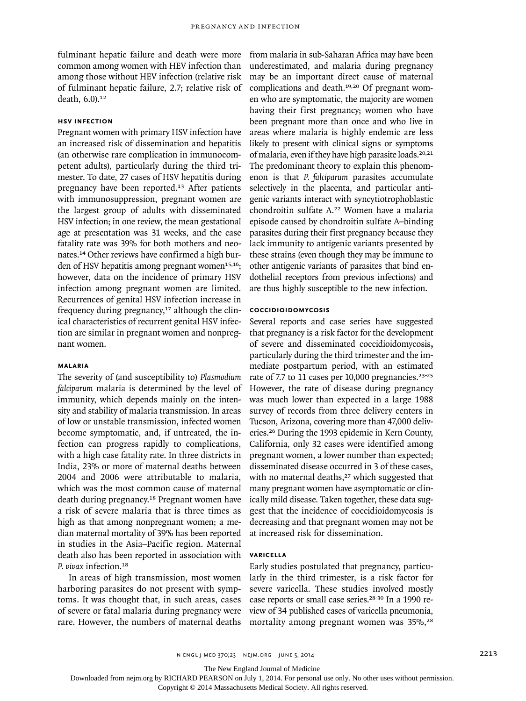fulminant hepatic failure and death were more common among women with HEV infection than among those without HEV infection (relative risk of fulminant hepatic failure, 2.7; relative risk of death, 6.0).<sup>12</sup>

#### **HSV Infection**

Pregnant women with primary HSV infection have an increased risk of dissemination and hepatitis (an otherwise rare complication in immunocompetent adults), particularly during the third trimester. To date, 27 cases of HSV hepatitis during pregnancy have been reported.<sup>13</sup> After patients with immunosuppression, pregnant women are the largest group of adults with disseminated HSV infection; in one review, the mean gestational age at presentation was 31 weeks, and the case fatality rate was 39% for both mothers and neonates.14 Other reviews have confirmed a high burden of HSV hepatitis among pregnant women $15,16$ ; however, data on the incidence of primary HSV infection among pregnant women are limited. Recurrences of genital HSV infection increase in frequency during pregnancy, $17$  although the clinical characteristics of recurrent genital HSV infection are similar in pregnant women and nonpregnant women.

# **Malaria**

The severity of (and susceptibility to) *Plasmodium falciparum* malaria is determined by the level of immunity, which depends mainly on the intensity and stability of malaria transmission. In areas of low or unstable transmission, infected women become symptomatic, and, if untreated, the infection can progress rapidly to complications, with a high case fatality rate. In three districts in India, 23% or more of maternal deaths between 2004 and 2006 were attributable to malaria, which was the most common cause of maternal death during pregnancy.18 Pregnant women have a risk of severe malaria that is three times as high as that among nonpregnant women; a median maternal mortality of 39% has been reported in studies in the Asia–Pacific region. Maternal death also has been reported in association with *P. vivax* infection.<sup>18</sup>

In areas of high transmission, most women harboring parasites do not present with symptoms. It was thought that, in such areas, cases of severe or fatal malaria during pregnancy were rare. However, the numbers of maternal deaths from malaria in sub-Saharan Africa may have been underestimated, and malaria during pregnancy may be an important direct cause of maternal complications and death.19,20 Of pregnant women who are symptomatic, the majority are women having their first pregnancy; women who have been pregnant more than once and who live in areas where malaria is highly endemic are less likely to present with clinical signs or symptoms of malaria, even if they have high parasite loads.<sup>20,21</sup> The predominant theory to explain this phenomenon is that *P. falciparum* parasites accumulate selectively in the placenta, and particular antigenic variants interact with syncytiotrophoblastic chondroitin sulfate A.22 Women have a malaria episode caused by chondroitin sulfate A–binding parasites during their first pregnancy because they lack immunity to antigenic variants presented by these strains (even though they may be immune to other antigenic variants of parasites that bind endothelial receptors from previous infections) and are thus highly susceptible to the new infection.

# **Coccidioidomycosis**

Several reports and case series have suggested that pregnancy is a risk factor for the development of severe and disseminated coccidioidomycosis**,** particularly during the third trimester and the immediate postpartum period, with an estimated rate of 7.7 to 11 cases per 10,000 pregnancies.<sup>23-25</sup> However, the rate of disease during pregnancy was much lower than expected in a large 1988 survey of records from three delivery centers in Tucson, Arizona, covering more than 47,000 deliveries.26 During the 1993 epidemic in Kern County, California, only 32 cases were identified among pregnant women, a lower number than expected; disseminated disease occurred in 3 of these cases, with no maternal deaths,<sup>27</sup> which suggested that many pregnant women have asymptomatic or clinically mild disease. Taken together, these data suggest that the incidence of coccidioidomycosis is decreasing and that pregnant women may not be at increased risk for dissemination.

# **Varicella**

Early studies postulated that pregnancy, particularly in the third trimester, is a risk factor for severe varicella. These studies involved mostly case reports or small case series.<sup>28-30</sup> In a 1990 review of 34 published cases of varicella pneumonia, mortality among pregnant women was 35%,<sup>28</sup>

The New England Journal of Medicine

Downloaded from nejm.org by RICHARD PEARSON on July 1, 2014. For personal use only. No other uses without permission.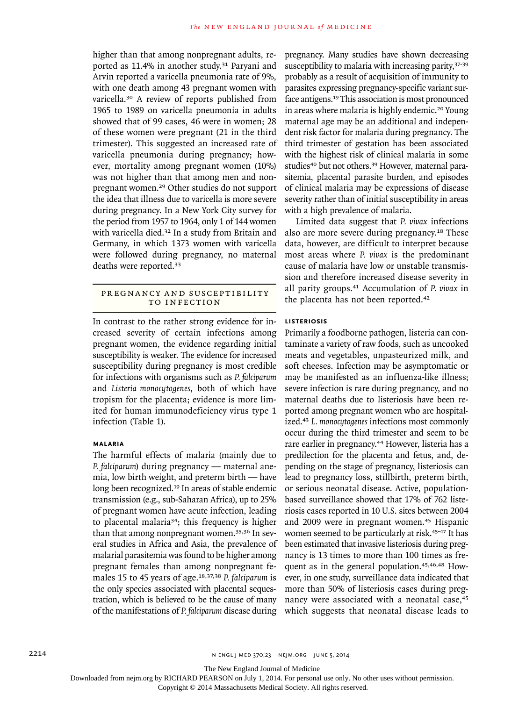higher than that among nonpregnant adults, reported as 11.4% in another study.<sup>31</sup> Paryani and Arvin reported a varicella pneumonia rate of 9%, with one death among 43 pregnant women with varicella.30 A review of reports published from 1965 to 1989 on varicella pneumonia in adults showed that of 99 cases, 46 were in women; 28 of these women were pregnant (21 in the third trimester). This suggested an increased rate of varicella pneumonia during pregnancy; however, mortality among pregnant women (10%) was not higher than that among men and nonpregnant women.29 Other studies do not support the idea that illness due to varicella is more severe during pregnancy. In a New York City survey for the period from 1957 to 1964, only 1 of 144 women with varicella died.<sup>32</sup> In a study from Britain and Germany, in which 1373 women with varicella were followed during pregnancy, no maternal deaths were reported.<sup>33</sup>

# PREGNANCY AND SUSCEPTIBILITY TO INFECTION

In contrast to the rather strong evidence for increased severity of certain infections among pregnant women, the evidence regarding initial susceptibility is weaker. The evidence for increased susceptibility during pregnancy is most credible for infections with organisms such as *P. falciparum* and *Listeria monocytogenes*, both of which have tropism for the placenta; evidence is more limited for human immunodeficiency virus type 1 infection (Table 1).

#### **Malaria**

The harmful effects of malaria (mainly due to *P. falciparum*) during pregnancy — maternal anemia, low birth weight, and preterm birth — have long been recognized.<sup>19</sup> In areas of stable endemic transmission (e.g., sub-Saharan Africa), up to 25% of pregnant women have acute infection, leading to placental malaria34; this frequency is higher than that among nonpregnant women.35,36 In several studies in Africa and Asia, the prevalence of malarial parasitemia was found to be higher among pregnant females than among nonpregnant females 15 to 45 years of age.18,37,38 *P. falciparum* is the only species associated with placental sequestration, which is believed to be the cause of many of the manifestations of *P. falciparum* disease during pregnancy. Many studies have shown decreasing susceptibility to malaria with increasing parity, 37-39 probably as a result of acquisition of immunity to parasites expressing pregnancy-specific variant surface antigens.19 This association is most pronounced in areas where malaria is highly endemic.20 Young maternal age may be an additional and independent risk factor for malaria during pregnancy. The third trimester of gestation has been associated with the highest risk of clinical malaria in some studies<sup>40</sup> but not others.<sup>39</sup> However, maternal parasitemia, placental parasite burden, and episodes of clinical malaria may be expressions of disease severity rather than of initial susceptibility in areas with a high prevalence of malaria.

Limited data suggest that *P. vivax* infections also are more severe during pregnancy.18 These data, however, are difficult to interpret because most areas where *P. vivax* is the predominant cause of malaria have low or unstable transmission and therefore increased disease severity in all parity groups.41 Accumulation of *P. vivax* in the placenta has not been reported.<sup>42</sup>

## **Listeriosis**

Primarily a foodborne pathogen, listeria can contaminate a variety of raw foods, such as uncooked meats and vegetables, unpasteurized milk, and soft cheeses. Infection may be asymptomatic or may be manifested as an influenza-like illness; severe infection is rare during pregnancy, and no maternal deaths due to listeriosis have been reported among pregnant women who are hospitalized.<sup>43</sup> *L. monocytogenes* infections most commonly occur during the third trimester and seem to be rare earlier in pregnancy.<sup>44</sup> However, listeria has a predilection for the placenta and fetus, and, depending on the stage of pregnancy, listeriosis can lead to pregnancy loss, stillbirth, preterm birth, or serious neonatal disease. Active, populationbased surveillance showed that 17% of 762 listeriosis cases reported in 10 U.S. sites between 2004 and 2009 were in pregnant women.<sup>45</sup> Hispanic women seemed to be particularly at risk.<sup>45-47</sup> It has been estimated that invasive listeriosis during pregnancy is 13 times to more than 100 times as frequent as in the general population.45,46,48 However, in one study, surveillance data indicated that more than 50% of listeriosis cases during pregnancy were associated with a neonatal case,<sup>45</sup> which suggests that neonatal disease leads to

The New England Journal of Medicine

Downloaded from nejm.org by RICHARD PEARSON on July 1, 2014. For personal use only. No other uses without permission.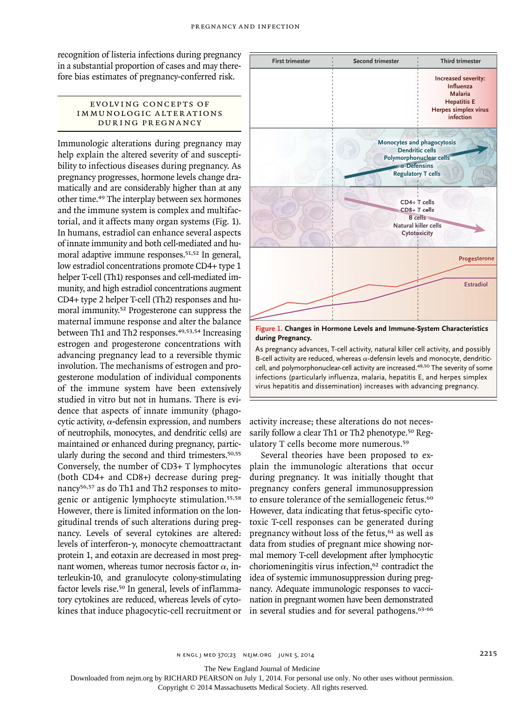recognition of listeria infections during pregnancy in a substantial proportion of cases and may therefore bias estimates of pregnancy-conferred risk.

#### EVOLVING CONCEPTS OF IMMUNOLOGIC ALTERATIONS during Pregnancy

Immunologic alterations during pregnancy may help explain the altered severity of and susceptibility to infectious diseases during pregnancy. As pregnancy progresses, hormone levels change dramatically and are considerably higher than at any other time.49 The interplay between sex hormones and the immune system is complex and multifactorial, and it affects many organ systems (Fig. 1). In humans, estradiol can enhance several aspects of innate immunity and both cell-mediated and humoral adaptive immune responses.<sup>51,52</sup> In general, low estradiol concentrations promote CD4+ type 1 helper T-cell (Th1) responses and cell-mediated immunity, and high estradiol concentrations augment CD4+ type 2 helper T-cell (Th2) responses and humoral immunity.52 Progesterone can suppress the maternal immune response and alter the balance between Th1 and Th2 responses.<sup>49,53,54</sup> Increasing estrogen and progesterone concentrations with advancing pregnancy lead to a reversible thymic involution. The mechanisms of estrogen and progesterone modulation of individual components of the immune system have been extensively studied in vitro but not in humans. There is evidence that aspects of innate immunity (phagocytic activity,  $\alpha$ -defensin expression, and numbers of neutrophils, monocytes, and dendritic cells) are maintained or enhanced during pregnancy, particularly during the second and third trimesters.50,55 Conversely, the number of CD3+ T lymphocytes (both CD4+ and CD8+) decrease during pregnancy<sup>56,57</sup> as do Th1 and Th2 responses to mitogenic or antigenic lymphocyte stimulation.55,58 However, there is limited information on the longitudinal trends of such alterations during pregnancy. Levels of several cytokines are altered: levels of interferon-γ, monocyte chemoattractant protein 1, and eotaxin are decreased in most pregnant women, whereas tumor necrosis factor  $\alpha$ , interleukin-10, and granulocyte colony-stimulating factor levels rise.50 In general, levels of inflammatory cytokines are reduced, whereas levels of cytokines that induce phagocytic-cell recruitment or



**during Pregnancy.**

advanci infections (particularly influenza, malaria, hepatitis E, and herpes simplex virus hepatitis and dissemination) increases with advancing pregnancy. cell, and polymorphonuclear-cell activity are increased.<sup>49,50</sup> The severity of some As pregnancy advances, T-cell activity, natural killer cell activity, and possibly B-cell activity are reduced, whereas  $\alpha$ -defensin levels and monocyte, dendritic-

Title

Pregnancy and Infection

activity increase; these alterations do not necessarily follow a clear Th1 or Th2 phenotype.<sup>50</sup> Regulatory T cells become more numerous.<sup>59</sup>  $\ddot{\phantom{1}}$ 

Several theories have been proposed to explain the immunologic alterations that occur during pregnancy. It was initially thought that pregnancy confers general immunosuppression to ensure tolerance of the semiallogeneic fetus.<sup>60</sup> However, data indicating that fetus-specific cytotoxic T-cell responses can be generated during pregnancy without loss of the fetus,<sup>61</sup> as well as data from studies of pregnant mice showing normal memory T-cell development after lymphocytic choriomeningitis virus infection,<sup>62</sup> contradict the idea of systemic immunosuppression during pregnancy. Adequate immunologic responses to vaccination in pregnant women have been demonstrated in several studies and for several pathogens.<sup>63-66</sup>

n engl j med 370;23 nejm.org june 5, 2014 2215

The New England Journal of Medicine

Downloaded from nejm.org by RICHARD PEARSON on July 1, 2014. For personal use only. No other uses without permission.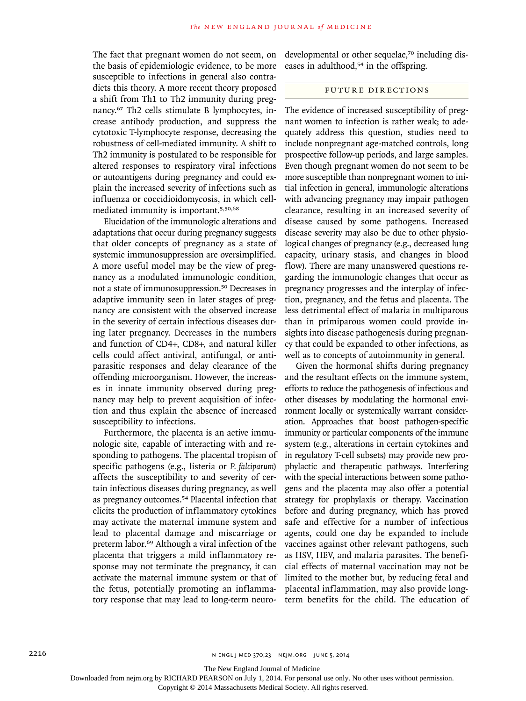The fact that pregnant women do not seem, on the basis of epidemiologic evidence, to be more susceptible to infections in general also contradicts this theory. A more recent theory proposed a shift from Th1 to Th2 immunity during pregnancy.67 Th2 cells stimulate B lymphocytes, increase antibody production, and suppress the cytotoxic T-lymphocyte response, decreasing the robustness of cell-mediated immunity. A shift to Th2 immunity is postulated to be responsible for altered responses to respiratory viral infections or autoantigens during pregnancy and could explain the increased severity of infections such as influenza or coccidioidomycosis, in which cellmediated immunity is important.5,50,68

Elucidation of the immunologic alterations and adaptations that occur during pregnancy suggests that older concepts of pregnancy as a state of systemic immunosuppression are oversimplified. A more useful model may be the view of pregnancy as a modulated immunologic condition, not a state of immunosuppression.50 Decreases in adaptive immunity seen in later stages of pregnancy are consistent with the observed increase in the severity of certain infectious diseases during later pregnancy. Decreases in the numbers and function of CD4+, CD8+, and natural killer cells could affect antiviral, antifungal, or antiparasitic responses and delay clearance of the offending microorganism. However, the increases in innate immunity observed during pregnancy may help to prevent acquisition of infection and thus explain the absence of increased susceptibility to infections.

Furthermore, the placenta is an active immunologic site, capable of interacting with and responding to pathogens. The placental tropism of specific pathogens (e.g., listeria or *P. falciparum*) affects the susceptibility to and severity of certain infectious diseases during pregnancy, as well as pregnancy outcomes.54 Placental infection that elicits the production of inflammatory cytokines may activate the maternal immune system and lead to placental damage and miscarriage or preterm labor.69 Although a viral infection of the placenta that triggers a mild inflammatory response may not terminate the pregnancy, it can activate the maternal immune system or that of the fetus, potentially promoting an inflammatory response that may lead to long-term neurodevelopmental or other sequelae,<sup>70</sup> including diseases in adulthood,<sup>54</sup> in the offspring.

# Future Directions

The evidence of increased susceptibility of pregnant women to infection is rather weak; to adequately address this question, studies need to include nonpregnant age-matched controls, long prospective follow-up periods, and large samples. Even though pregnant women do not seem to be more susceptible than nonpregnant women to initial infection in general, immunologic alterations with advancing pregnancy may impair pathogen clearance, resulting in an increased severity of disease caused by some pathogens. Increased disease severity may also be due to other physiological changes of pregnancy (e.g., decreased lung capacity, urinary stasis, and changes in blood flow). There are many unanswered questions regarding the immunologic changes that occur as pregnancy progresses and the interplay of infection, pregnancy, and the fetus and placenta. The less detrimental effect of malaria in multiparous than in primiparous women could provide insights into disease pathogenesis during pregnancy that could be expanded to other infections, as well as to concepts of autoimmunity in general.

Given the hormonal shifts during pregnancy and the resultant effects on the immune system, efforts to reduce the pathogenesis of infectious and other diseases by modulating the hormonal environment locally or systemically warrant consideration. Approaches that boost pathogen-specific immunity or particular components of the immune system (e.g., alterations in certain cytokines and in regulatory T-cell subsets) may provide new prophylactic and therapeutic pathways. Interfering with the special interactions between some pathogens and the placenta may also offer a potential strategy for prophylaxis or therapy. Vaccination before and during pregnancy, which has proved safe and effective for a number of infectious agents, could one day be expanded to include vaccines against other relevant pathogens, such as HSV, HEV, and malaria parasites. The beneficial effects of maternal vaccination may not be limited to the mother but, by reducing fetal and placental inflammation, may also provide longterm benefits for the child. The education of

The New England Journal of Medicine

Downloaded from nejm.org by RICHARD PEARSON on July 1, 2014. For personal use only. No other uses without permission.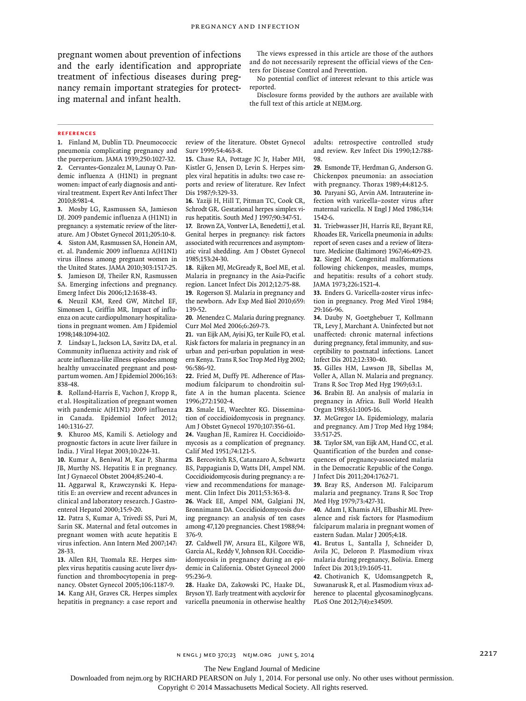pregnant women about prevention of infections and the early identification and appropriate treatment of infectious diseases during pregnancy remain important strategies for protecting maternal and infant health.

The views expressed in this article are those of the authors and do not necessarily represent the official views of the Centers for Disease Control and Prevention.

No potential conflict of interest relevant to this article was reported.

Disclosure forms provided by the authors are available with the full text of this article at NEJM.org.

#### **References**

**1.** Finland M, Dublin TD. Pneumococcic pneumonia complicating pregnancy and the puerperium. JAMA 1939;250:1027-32. **2.** Cervantes-Gonzalez M, Launay O. Pandemic influenza A (H1N1) in pregnant women: impact of early diagnosis and antiviral treatment. Expert Rev Anti Infect Ther 2010;8:981-4.

**3.** Mosby LG, Rasmussen SA, Jamieson DJ. 2009 pandemic influenza A (H1N1) in pregnancy: a systematic review of the literature. Am J Obstet Gynecol 2011;205:10-8. **4.** Siston AM, Rasmussen SA, Honein AM, et. al. Pandemic 2009 influenza A(H1N1) virus illness among pregnant women in the United States. JAMA 2010;303:1517-25. **5.** Jamieson DJ, Theiler RN, Rasmussen

SA. Emerging infections and pregnancy. Emerg Infect Dis 2006;12:1638-43. **6.** Neuzil KM, Reed GW, Mitchel EF,

Simonsen L, Griffin MR. Impact of influenza on acute cardiopulmonary hospitalizations in pregnant women. Am J Epidemiol 1998;148:1094-102.

**7.** Lindsay L, Jackson LA, Savitz DA, et al. Community influenza activity and risk of acute influenza-like illness episodes among healthy unvaccinated pregnant and postpartum women. Am J Epidemiol 2006;163: 838-48.

**8.** Rolland-Harris E, Vachon J, Kropp R, et al. Hospitalization of pregnant women with pandemic A(H1N1) 2009 influenza in Canada. Epidemiol Infect 2012; 140:1316-27.

**9.** Khuroo MS, Kamili S. Aetiology and prognostic factors in acute liver failure in India. J Viral Hepat 2003;10:224-31.

**10.** Kumar A, Beniwal M, Kar P, Sharma JB, Murthy NS. Hepatitis E in pregnancy. Int J Gynaecol Obstet 2004;85:240-4.

**11.** Aggarwal R, Krawczynski K. Hepatitis E: an overview and recent advances in clinical and laboratory research. J Gastroenterol Hepatol 2000;15:9-20.

**12.** Patra S, Kumar A, Trivedi SS, Puri M, Sarin SK. Maternal and fetal outcomes in pregnant women with acute hepatitis E virus infection. Ann Intern Med 2007;147: 28-33.

**13.** Allen RH, Tuomala RE. Herpes simplex virus hepatitis causing acute liver dysfunction and thrombocytopenia in pregnancy. Obstet Gynecol 2005;106:1187-9. **14.** Kang AH, Graves CR. Herpes simplex hepatitis in pregnancy: a case report and review of the literature. Obstet Gynecol Surv 1999;54:463-8.

**15.** Chase RA, Pottage JC Jr, Haber MH, Kistler G, Jensen D, Levin S. Herpes simplex viral hepatitis in adults: two case reports and review of literature. Rev Infect Dis 1987.9.329-33.

**16.** Yaziji H, Hill T, Pitman TC, Cook CR, Schrodt GR. Gestational herpes simplex virus hepatitis. South Med J 1997;90:347-51. **17.** Brown ZA, Vontver LA, Benedetti J, et al. Genital herpes in pregnancy: risk factors associated with recurrences and asymptomatic viral shedding. Am J Obstet Gynecol 1985;153:24-30.

**18.** Rijken MJ, McGready R, Boel ME, et al. Malaria in pregnancy in the Asia-Pacific region. Lancet Infect Dis 2012;12:75-88. **19.** Rogerson SJ. Malaria in pregnancy and the newborn. Adv Exp Med Biol 2010;659: 139-52.

**20.** Menendez C. Malaria during pregnancy. Curr Mol Med 2006;6:269-73.

**21.** van Eijk AM, Ayisi JG, ter Kuile FO, et al. Risk factors for malaria in pregnancy in an urban and peri-urban population in western Kenya. Trans R Soc Trop Med Hyg 2002; 96:586-92.

**22.** Fried M, Duffy PE. Adherence of Plasmodium falciparum to chondroitin sulfate A in the human placenta. Science 1996;272:1502-4.

**23.** Smale LE, Waechter KG. Dissemination of coccidioidomycosis in pregnancy. Am J Obstet Gynecol 1970;107:356-61.

**24.** Vaughan JE, Ramirez H. Coccidioidomycosis as a complication of pregnancy. Calif Med 1951;74:121-5.

**25.** Bercovitch RS, Catanzaro A, Schwartz BS, Pappagianis D, Watts DH, Ampel NM. Coccidioidomycosis during pregnancy: a review and recommendations for management. Clin Infect Dis 2011;53:363-8.

**26.** Wack EE, Ampel NM, Galgiani JN, Bronnimann DA. Coccidioidomycosis during pregnancy: an analysis of ten cases among 47,120 pregnancies. Chest 1988;94: 376-9.

**27.** Caldwell JW, Arsura EL, Kilgore WB, Garcia AL, Reddy V, Johnson RH. Coccidioidomycosis in pregnancy during an epidemic in California. Obstet Gynecol 2000 95:236-9.

**28.** Haake DA, Zakowski PC, Haake DL, Bryson YJ. Early treatment with acyclovir for varicella pneumonia in otherwise healthy adults: retrospective controlled study and review. Rev Infect Dis 1990;12:788- 98.

**29.** Esmonde TF, Herdman G, Anderson G. Chickenpox pneumonia: an association with pregnancy. Thorax 1989;44:812-5.

**30.** Paryani SG, Arvin AM. Intrauterine infection with varicella–zoster virus after maternal varicella. N Engl J Med 1986;314: 1542-6.

**31.** Triebwasser JH, Harris RE, Bryant RE, Rhoades ER. Varicella pneumonia in adults: report of seven cases and a review of literature. Medicine (Baltimore) 1967;46:409-23. **32.** Siegel M. Congenital malformations following chickenpox, measles, mumps, and hepatitis: results of a cohort study. JAMA 1973;226:1521-4.

**33.** Enders G. Varicella-zoster virus infection in pregnancy. Prog Med Virol 1984; 29:166-96.

**34.** Dauby N, Goetghebuer T, Kollmann TR, Levy J, Marchant A. Uninfected but not unaffected: chronic maternal infections during pregnancy, fetal immunity, and susceptibility to postnatal infections. Lancet Infect Dis 2012;12:330-40.

**35.** Gilles HM, Lawson JB, Sibellas M, Voller A, Allan N. Malaria and pregnancy. Trans R Soc Trop Med Hyg 1969;63:1.

**36.** Brabin BJ. An analysis of malaria in pregnancy in Africa. Bull World Health Organ 1983;61:1005-16.

**37.** McGregor IA. Epidemiology, malaria and pregnancy. Am J Trop Med Hyg 1984; 33:517-25.

**38.** Taylor SM, van Eijk AM, Hand CC, et al. Quantification of the burden and consequences of pregnancy-associated malaria in the Democratic Republic of the Congo. J Infect Dis 2011;204:1762-71.

**39.** Bray RS, Anderson MJ. Falciparum malaria and pregnancy. Trans R Soc Trop Med Hyg 1979;73:427-31.

**40.** Adam I, Khamis AH, Elbashir MI. Prevalence and risk factors for Plasmodium falciparum malaria in pregnant women of eastern Sudan. Malar J 2005;4:18.

**41.** Brutus L, Santalla J, Schneider D, Avila JC, Deloron P. Plasmodium vivax malaria during pregnancy, Bolivia. Emerg Infect Dis 2013;19:1605-11.

**42.** Chotivanich K, Udomsangpetch R, Suwanarusk R, et al. Plasmodium vivax adherence to placental glycosaminoglycans. PLoS One 2012;7(4):e34509.

The New England Journal of Medicine

Downloaded from nejm.org by RICHARD PEARSON on July 1, 2014. For personal use only. No other uses without permission.